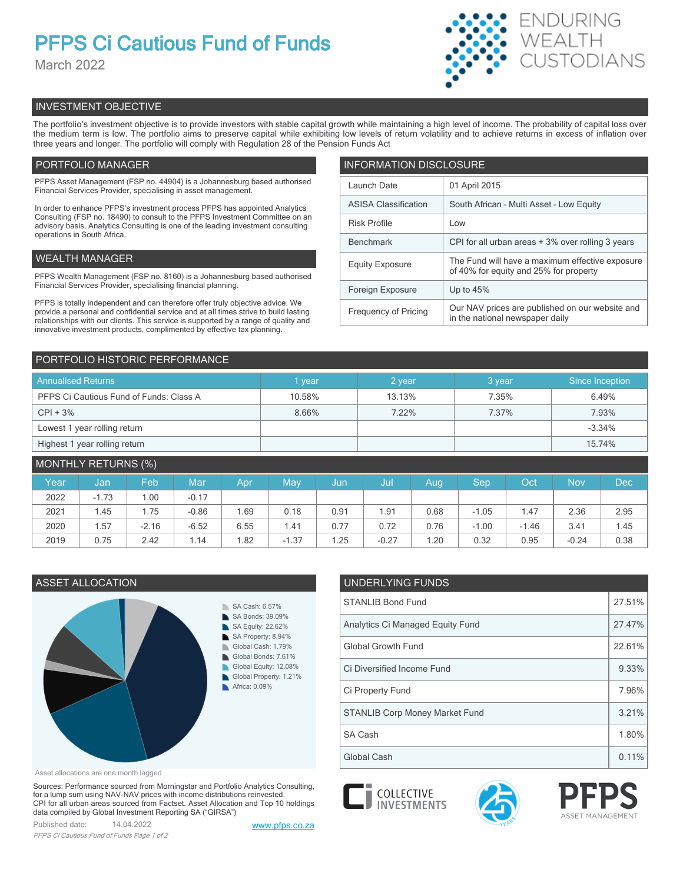# **PFPS Ci Cautious Fund of Funds**

March 2022



## INVESTMENT OBJECTIVE

The portfolio's investment objective is to provide investors with stable capital growth while maintaining a high level of income. The probability of capital loss over the medium term is low. The portfolio aims to preserve capital while exhibiting low levels of return volatility and to achieve returns in excess of inflation over three years and longer. The portfolio will comply with Regulation 28 of the Pension Funds Act

## PORTFOLIO MANAGER

PFPS Asset Management (FSP no. 44904) is a Johannesburg based authorised Financial Services Provider, specialising in asset management.

In order to enhance PFPS's investment process PFPS has appointed Analytics Consulting (FSP no. 18490) to consult to the PFPS Investment Committee on an advisory basis. Analytics Consulting is one of the leading investment consulting operations in South Africa.

## WEALTH MANAGER

PFPS Wealth Management (FSP no. 8160) is a Johannesburg based authorised Financial Services Provider, specialising financial planning.

PFPS is totally independent and can therefore offer truly objective advice. We provide a personal and confidential service and at all times strive to build lasting relationships with our clients. This service is supported by a range of quality and innovative investment products, complimented by effective tax planning.

| <b>INFORMATION DISCLOSURE</b> |                                                                                           |  |  |  |  |  |
|-------------------------------|-------------------------------------------------------------------------------------------|--|--|--|--|--|
| Launch Date                   | 01 April 2015                                                                             |  |  |  |  |  |
| <b>ASISA Classification</b>   | South African - Multi Asset - Low Equity                                                  |  |  |  |  |  |
| <b>Risk Profile</b>           | Low                                                                                       |  |  |  |  |  |
| <b>Benchmark</b>              | CPI for all urban areas + 3% over rolling 3 years                                         |  |  |  |  |  |
| <b>Equity Exposure</b>        | The Fund will have a maximum effective exposure<br>of 40% for equity and 25% for property |  |  |  |  |  |
| Foreign Exposure              | Up to $45%$                                                                               |  |  |  |  |  |
| <b>Frequency of Pricing</b>   | Our NAV prices are published on our website and<br>in the national newspaper daily        |  |  |  |  |  |

## PORTFOLIO HISTORIC PERFORMANCE

| <b>Annualised Returns</b>               | l vear           | 2 year | 3 year | Since Inception |  |
|-----------------------------------------|------------------|--------|--------|-----------------|--|
| PFPS Ci Cautious Fund of Funds: Class A | 13.13%<br>10.58% |        | 7.35%  | 6.49%           |  |
| $CPI + 3%$                              | 8.66%            | 7.22%  | 7.37%  | 7.93%           |  |
| Lowest 1 year rolling return            |                  |        |        | $-3.34%$        |  |
| Highest 1 year rolling return           |                  |        |        | 15.74%          |  |

| <b>MONTHLY RETURNS (%)</b> |         |         |         |      |         |      |         |      |         |         |            |      |
|----------------------------|---------|---------|---------|------|---------|------|---------|------|---------|---------|------------|------|
| Year                       | Jan     | Feb     | Mar     | Apr  | May     | Jun  | Jul     | Aug  | Sep     | Oct     | <b>Nov</b> | Dec  |
| 2022                       | $-1.73$ | .00     | $-0.17$ |      |         |      |         |      |         |         |            |      |
| 2021                       | 1.45    | i.75    | $-0.86$ | .69  | 0.18    | 0.91 | .91     | 0.68 | $-1.05$ | 1.47    | 2.36       | 2.95 |
| 2020                       | 1.57    | $-2.16$ | $-6.52$ | 6.55 | 1.41    | 0.77 | 0.72    | 0.76 | $-1.00$ | $-1.46$ | 3.41       | 1.45 |
| 2019                       | 0.75    | 2.42    | 1.14    | .82  | $-1.37$ | .25  | $-0.27$ | 1.20 | 0.32    | 0.95    | $-0.24$    | 0.38 |

## ASSET ALLOCATION UNDERLYING FUNDS SA Cash: 6.57% SA Bonds: 39.09% SA Equity: 22.62% SA Property: 8.94% D. Global Cash: 1.79% Global Bonds: 7.61% Global Equity: 12.08% ь Global Property: 1.21% Africa: 0.09%

Asset allocations are one month lagged

Sources: Performance sourced from Morningstar and Portfolio Analytics Consulting, for a lump sum using NAV-NAV prices with income distributions reinvested. CPI for all urban areas sourced from Factset. Asset Allocation and Top 10 holdings data compiled by Global Investment Reporting SA ("GIRSA")

Published date: 14.04.2022 [www.pfps.co.za](https://www.pfps.co.za/) *PFPS Ci Cautious Fund of Funds Page 1 of 2*